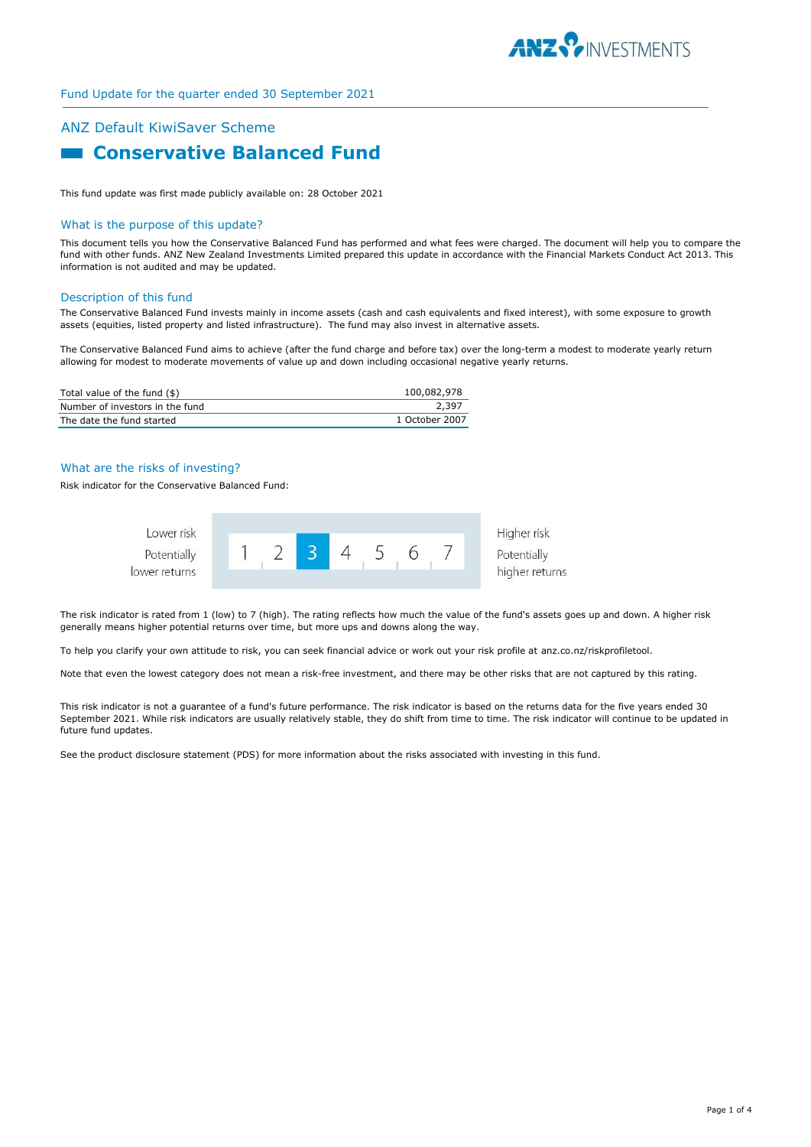

# Fund Update for the quarter ended 30 September 2021

# ANZ Default KiwiSaver Scheme **Example 2 Conservative Balanced Fund**

This fund update was first made publicly available on: 28 October 2021

#### What is the purpose of this update?

This document tells you how the Conservative Balanced Fund has performed and what fees were charged. The document will help you to compare the fund with other funds. ANZ New Zealand Investments Limited prepared this update in accordance with the Financial Markets Conduct Act 2013. This information is not audited and may be updated.

#### Description of this fund

The Conservative Balanced Fund invests mainly in income assets (cash and cash equivalents and fixed interest), with some exposure to growth assets (equities, listed property and listed infrastructure). The fund may also invest in alternative assets.

The Conservative Balanced Fund aims to achieve (after the fund charge and before tax) over the long-term a modest to moderate yearly return allowing for modest to moderate movements of value up and down including occasional negative yearly returns.

| Total value of the fund (\$)    | 100.082.978    |
|---------------------------------|----------------|
| Number of investors in the fund | 2,397          |
| The date the fund started       | 1 October 2007 |

#### What are the risks of investing?

Risk indicator for the Conservative Balanced Fund:



The risk indicator is rated from 1 (low) to 7 (high). The rating reflects how much the value of the fund's assets goes up and down. A higher risk generally means higher potential returns over time, but more ups and downs along the way.

To help you clarify your own attitude to risk, you can seek financial advice or work out your risk profile at anz.co.nz/riskprofiletool.

Note that even the lowest category does not mean a risk-free investment, and there may be other risks that are not captured by this rating.

This risk indicator is not a guarantee of a fund's future performance. The risk indicator is based on the returns data for the five years ended 30 September 2021. While risk indicators are usually relatively stable, they do shift from time to time. The risk indicator will continue to be updated in future fund updates.

See the product disclosure statement (PDS) for more information about the risks associated with investing in this fund.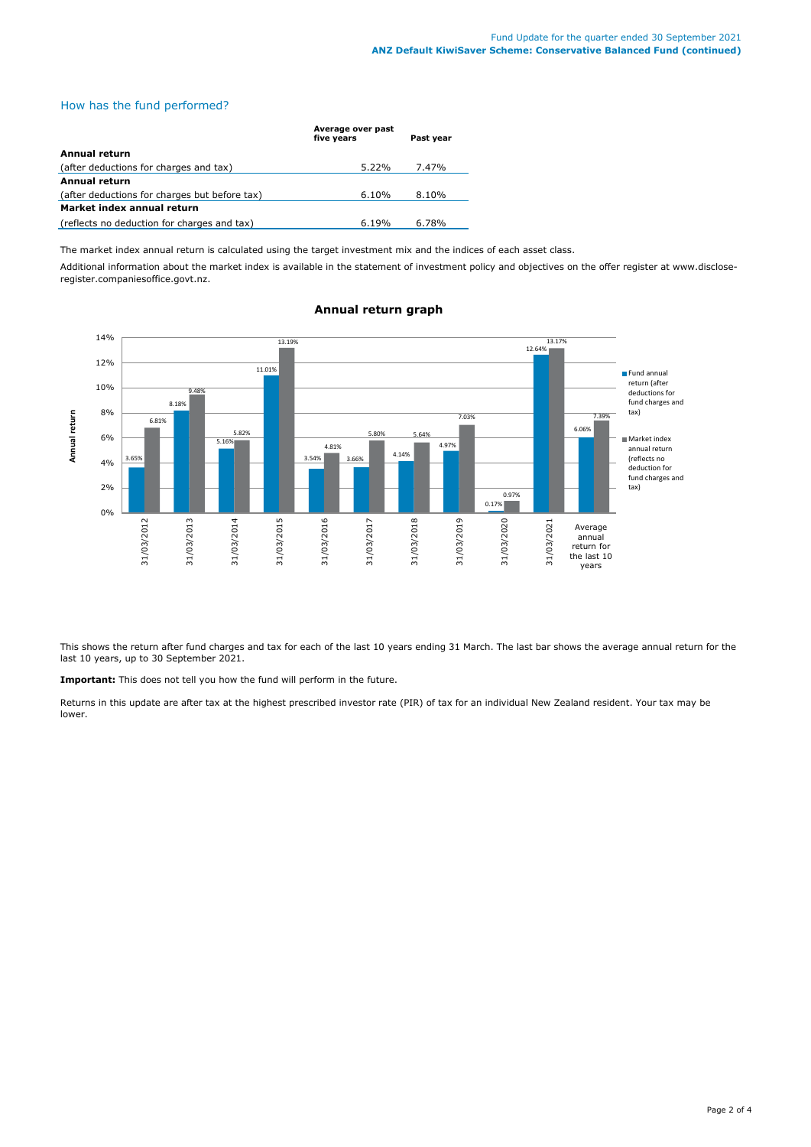### How has the fund performed?

|                                               | Average over past<br>five years | Past year |
|-----------------------------------------------|---------------------------------|-----------|
| Annual return                                 |                                 |           |
| (after deductions for charges and tax)        | $5.22\%$                        | 7.47%     |
| Annual return                                 |                                 |           |
| (after deductions for charges but before tax) | 6.10%                           | 8.10%     |
| Market index annual return                    |                                 |           |
| (reflects no deduction for charges and tax)   | 6.19%                           | 6.78%     |

The market index annual return is calculated using the target investment mix and the indices of each asset class.

Additional information about the market index is available in the statement of investment policy and objectives on the offer register at www.discloseregister.companiesoffice.govt.nz.



# **Annual return graph**

This shows the return after fund charges and tax for each of the last 10 years ending 31 March. The last bar shows the average annual return for the last 10 years, up to 30 September 2021.

**Important:** This does not tell you how the fund will perform in the future.

Returns in this update are after tax at the highest prescribed investor rate (PIR) of tax for an individual New Zealand resident. Your tax may be lower.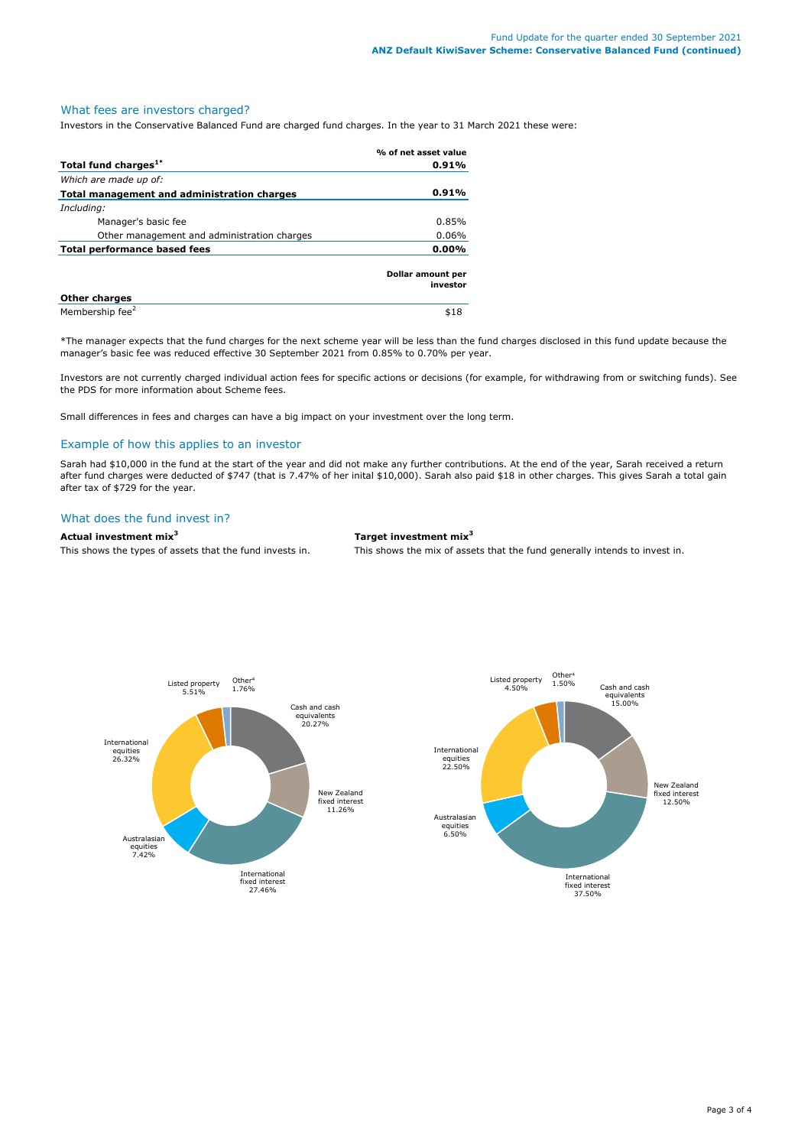# What fees are investors charged?

Investors in the Conservative Balanced Fund are charged fund charges. In the year to 31 March 2021 these were:

|                                             | % of net asset value          |
|---------------------------------------------|-------------------------------|
| Total fund charges <sup>1*</sup>            | 0.91%                         |
| Which are made up of:                       |                               |
| Total management and administration charges | 0.91%                         |
| Including:                                  |                               |
| Manager's basic fee                         | 0.85%                         |
| Other management and administration charges | 0.06%                         |
| Total performance based fees                | 0.00%                         |
|                                             | Dollar amount per<br>investor |
| <b>Other charges</b>                        |                               |
| Membership fee <sup>2</sup>                 | \$18                          |

\*The manager expects that the fund charges for the next scheme year will be less than the fund charges disclosed in this fund update because the manager's basic fee was reduced effective 30 September 2021 from 0.85% to 0.70% per year.

Investors are not currently charged individual action fees for specific actions or decisions (for example, for withdrawing from or switching funds). See the PDS for more information about Scheme fees.

Small differences in fees and charges can have a big impact on your investment over the long term.

### Example of how this applies to an investor

Sarah had \$10,000 in the fund at the start of the year and did not make any further contributions. At the end of the year, Sarah received a return after fund charges were deducted of \$747 (that is 7.47% of her inital \$10,000). Sarah also paid \$18 in other charges. This gives Sarah a total gain after tax of \$729 for the year.

# What does the fund invest in?

#### **Actual investment mix<sup>3</sup> Target investment mix<sup>3</sup>**

This shows the types of assets that the fund invests in. This shows the mix of assets that the fund generally intends to invest in.